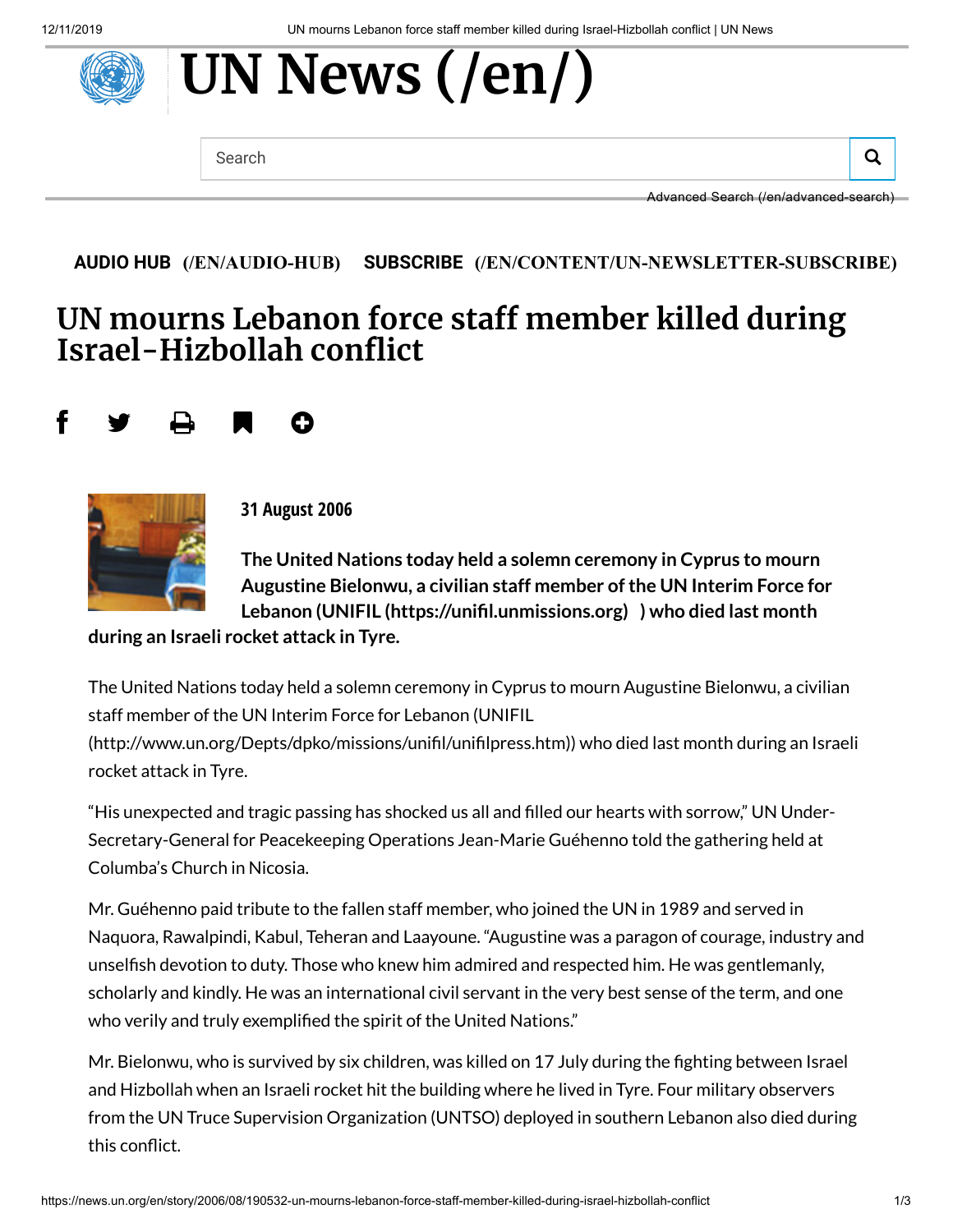# **[UN News](https://news.un.org/en/) (/en/)**

Search  $\overline{Q}$ 

Advanced Search [\(/en/advanced-search\)](https://news.un.org/en/advanced-search)

#### **AUDIO HUB [\(/EN/AUDIO-HUB\)](https://news.un.org/en/audio-hub) SUBSCRIBE [\(/EN/CONTENT/UN-NEWSLETTER-SUBSCRIBE\)](https://news.un.org/en/content/un-newsletter-subscribe)**

# **UN mourns Lebanon force sta member killed during Israel-Hizbollah conflict**

## f y a m o



**31 August 2006**

**The United Nations today held a solemn ceremony in Cyprus to mourn Augustine Bielonwu, a civilian staff member ofthe UN Interim Force for Lebanon (UNIFIL [\(https://unil.unmissions.org\)](https://unifil.unmissions.org/) ) who died last month**

**during an Israeli rocket attack in Tyre.**

The United Nations today held a solemn ceremony in Cyprus to mourn Augustine Bielonwu, a civilian staff member of the UN Interim Force for Lebanon (UNIFIL

(http://www.un.org/Depts/dpko/missions/unifil/unifilpress.htm)) who died last month during an Israeli rocket attack in Tyre.

"His unexpected and tragic passing has shocked us all and lled our hearts with sorrow," UN Under-Secretary-General for Peacekeeping Operations Jean-Marie Guéhenno told the gathering held at Columba's Church in Nicosia.

Mr. Guéhenno paid tribute to the fallen staff member, who joined the UN in 1989 and served in Naquora, Rawalpindi, Kabul, Teheran and Laayoune. "Augustine was a paragon of courage, industry and unselfish devotion to duty. Those who knew him admired and respected him. He was gentlemanly, scholarly and kindly. He was an international civil servant in the very best sense of the term, and one who verily and truly exemplified the spirit of the United Nations."

Mr. Bielonwu, who is survived by six children, was killed on 17 July during the ghting between Israel and Hizbollah when an Israeli rocket hit the building where he lived in Tyre. Four military observers from the UN Truce Supervision Organization (UNTSO) deployed in southern Lebanon also died during this conflict.